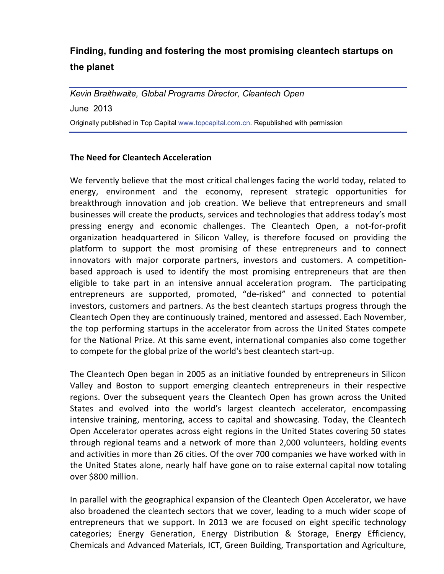## **Finding, funding and fostering the most promising cleantech startups on the planet**

*Kevin Braithwaite, Global Programs Director, Cleantech Open* June 2013 Originally published in Top Ca[pital www.topcapital.co](http://www.topcapital.com.cn/)m.cn. Republished with permission

## **The Need for Cleantech Acceleration**

We fervently believe that the most critical challenges facing the world today, related to energy, environment and the economy, represent strategic opportunities for breakthrough innovation and job creation. We believe that entrepreneurs and small businesses will create the products, services and technologies that address today's most pressing energy and economic challenges. The Cleantech Open, a not-for-profit organization headquartered in Silicon Valley, is therefore focused on providing the platform to support the most promising of these entrepreneurs and to connect innovators with major corporate partners, investors and customers. A competitionbased approach is used to identify the most promising entrepreneurs that are then eligible to take part in an intensive annual acceleration program. The participating entrepreneurs are supported, promoted, "de-risked" and connected to potential investors, customers and partners. As the best cleantech startups progress through the Cleantech Open they are continuously trained, mentored and assessed. Each November, the top performing startups in the accelerator from across the United States compete for the National Prize. At this same event, international companies also come together to compete for the global prize of the world's best cleantech start-up.

The Cleantech Open began in 2005 as an initiative founded by entrepreneurs in Silicon Valley and Boston to support emerging cleantech entrepreneurs in their respective regions. Over the subsequent years the Cleantech Open has grown across the United States and evolved into the world's largest cleantech accelerator, encompassing intensive training, mentoring, access to capital and showcasing. Today, the Cleantech Open Accelerator operates across eight regions in the United States covering 50 states through regional teams and a network of more than 2,000 volunteers, holding events and activities in more than 26 cities. Of the over 700 companies we have worked with in the United States alone, nearly half have gone on to raise external capital now totaling over \$800 million.

In parallel with the geographical expansion of the Cleantech Open Accelerator, we have also broadened the cleantech sectors that we cover, leading to a much wider scope of entrepreneurs that we support. In 2013 we are focused on eight specific technology categories; Energy Generation, Energy Distribution & Storage, Energy Efficiency, Chemicals and Advanced Materials, ICT, Green Building, Transportation and Agriculture,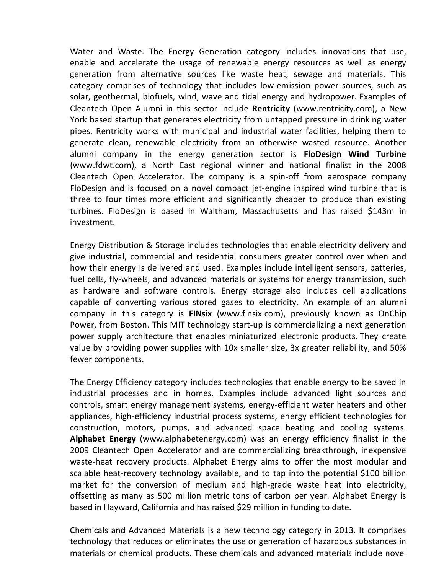Water and Waste. The Energy Generation category includes innovations that use, enable and accelerate the usage of renewable energy resources as well as energy generation from alternative sources like waste heat, sewage and materials. This category comprises of technology that includes low-emission power sources, such as solar, geothermal, biofuels, wind, wave and tidal energy and hydropower. Examples of Cleantech Open Alumni in this sector include **Rentricity** (www.rentricity.com), a New York based startup that generates electricity from untapped pressure in drinking water pipes. Rentricity works with municipal and industrial water facilities, helping them to generate clean, renewable electricity from an otherwise wasted resource. Another alumni company in the energy generation sector is **FloDesign Wind Turbine** (www.fdwt.com), a North East regional winner and national finalist in the 2008 Cleantech Open Accelerator. The company is a spin-off from aerospace company FloDesign and is focused on a novel compact jet-engine inspired wind turbine that is three to four times more efficient and significantly cheaper to produce than existing turbines. FloDesign is based in Waltham, Massachusetts and has raised \$143m in investment.

Energy Distribution & Storage includes technologies that enable electricity delivery and give industrial, commercial and residential consumers greater control over when and how their energy is delivered and used. Examples include intelligent sensors, batteries, fuel cells, fly-wheels, and advanced materials or systems for energy transmission, such as hardware and software controls. Energy storage also includes cell applications capable of converting various stored gases to electricity. An example of an alumni company in this category is **FINsix** (www.finsix.com), previously known as OnChip Power, from Boston. This MIT technology start-up is commercializing a next generation power supply architecture that enables miniaturized electronic products. They create value by providing power supplies with 10x smaller size, 3x greater reliability, and 50% fewer components.

The Energy Efficiency category includes technologies that enable energy to be saved in industrial processes and in homes. Examples include advanced light sources and controls, smart energy management systems, energy-efficient water heaters and other appliances, high-efficiency industrial process systems, energy efficient technologies for construction, motors, pumps, and advanced space heating and cooling systems. **Alphabet Energy** (www.alphabetenergy.com) was an energy efficiency finalist in the 2009 Cleantech Open Accelerator and are commercializing breakthrough, inexpensive waste-heat recovery products. Alphabet Energy aims to offer the most modular and scalable heat-recovery technology available, and to tap into the potential \$100 billion market for the conversion of medium and high-grade waste heat into electricity, offsetting as many as 500 million metric tons of carbon per year. Alphabet Energy is based in Hayward, California and has raised \$29 million in funding to date.

Chemicals and Advanced Materials is a new technology category in 2013. It comprises technology that reduces or eliminates the use or generation of hazardous substances in materials or chemical products. These chemicals and advanced materials include novel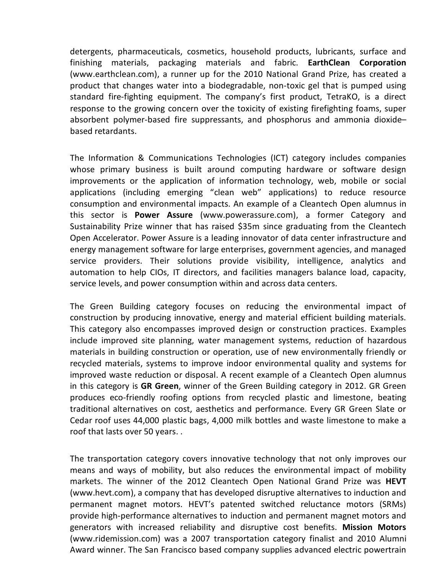detergents, pharmaceuticals, cosmetics, household products, lubricants, surface and finishing materials, packaging materials and fabric. **EarthClean Corporation** (www.earthclean.com), a runner up for the 2010 National Grand Prize, has created a product that changes water into a biodegradable, non-toxic gel that is pumped using standard fire-fighting equipment. The company's first product, TetraKO, is a direct response to the growing concern over the toxicity of existing firefighting foams, super absorbent polymer-based fire suppressants, and phosphorus and ammonia dioxide– based retardants.

The Information & Communications Technologies (ICT) category includes companies whose primary business is built around computing hardware or software design improvements or the application of information technology, web, mobile or social applications (including emerging "clean web" applications) to reduce resource consumption and environmental impacts. An example of a Cleantech Open alumnus in this sector is **Power Assure** (www.powerassure.com), a former Category and Sustainability Prize winner that has raised \$35m since graduating from the Cleantech Open Accelerator. Power Assure is a leading innovator of data center infrastructure and energy management software for large enterprises, government agencies, and managed service providers. Their solutions provide visibility, intelligence, analytics and automation to help CIOs, IT directors, and facilities managers balance load, capacity, service levels, and power consumption within and across data centers.

The Green Building category focuses on reducing the environmental impact of construction by producing innovative, energy and material efficient building materials. This category also encompasses improved design or construction practices. Examples include improved site planning, water management systems, reduction of hazardous materials in building construction or operation, use of new environmentally friendly or recycled materials, systems to improve indoor environmental quality and systems for improved waste reduction or disposal. A recent example of a Cleantech Open alumnus in this category is **GR Green**, winner of the Green Building category in 2012. GR Green produces eco-friendly roofing options from recycled plastic and limestone, beating traditional alternatives on cost, aesthetics and performance. Every GR Green Slate or Cedar roof uses 44,000 plastic bags, 4,000 milk bottles and waste limestone to make a roof that lasts over 50 years. .

The transportation category covers innovative technology that not only improves our means and ways of mobility, but also reduces the environmental impact of mobility markets. The winner of the 2012 Cleantech Open National Grand Prize was **HEVT** (www.hevt.com), a company that has developed disruptive alternatives to induction and permanent magnet motors. HEVT's patented switched reluctance motors (SRMs) provide high-performance alternatives to induction and permanent magnet motors and generators with increased reliability and disruptive cost benefits. **Mission Motors** (www.ridemission.com) was a 2007 transportation category finalist and 2010 Alumni Award winner. The San Francisco based company supplies advanced electric powertrain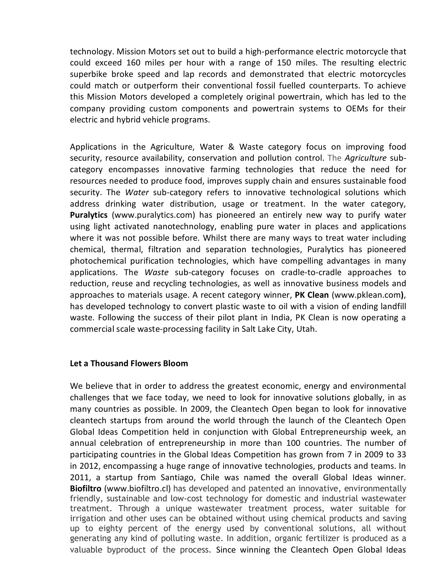technology. Mission Motors set out to build a high-performance electric motorcycle that could exceed 160 miles per hour with a range of 150 miles. The resulting electric superbike broke speed and lap records and demonstrated that electric motorcycles could match or outperform their conventional fossil fuelled counterparts. To achieve this Mission Motors developed a completely original powertrain, which has led to the company providing custom components and powertrain systems to OEMs for their electric and hybrid vehicle programs.

Applications in the Agriculture, Water & Waste category focus on improving food security, resource availability, conservation and pollution control. The *Agriculture* subcategory encompasses innovative farming technologies that reduce the need for resources needed to produce food, improves supply chain and ensures sustainable food security. The *Water* sub-category refers to innovative technological solutions which address drinking water distribution, usage or treatment. In the water category, **Puralytics** (www.puralytics.com) has pioneered an entirely new way to purify water using light activated nanotechnology, enabling pure water in places and applications where it was not possible before. Whilst there are many ways to treat water including chemical, thermal, filtration and separation technologies, Puralytics has pioneered photochemical purification technologies, which have compelling advantages in many applications. The *Waste* sub-category focuses on cradle-to-cradle approaches to reduction, reuse and recycling technologies, as well as innovative business models and approaches to materials usage. A recent category winner, **PK Clean** (www.pklean.com**)**, has developed technology to convert plastic waste to oil with a vision of ending landfill waste. Following the success of their pilot plant in India, PK Clean is now operating a commercial scale waste-processing facility in Salt Lake City, Utah.

## **Let a Thousand Flowers Bloom**

We believe that in order to address the greatest economic, energy and environmental challenges that we face today, we need to look for innovative solutions globally, in as many countries as possible. In 2009, the Cleantech Open began to look for innovative cleantech startups from around the world through the launch of the Cleantech Open Global Ideas Competition held in conjunction with Global Entrepreneurship week, an annual celebration of entrepreneurship in more than 100 countries. The number of participating countries in the Global Ideas Competition has grown from 7 in 2009 to 33 in 2012, encompassing a huge range of innovative technologies, products and teams. In 2011, a startup from Santiago, Chile was named the overall Global Ideas winner. **Biofiltro** (www.biofiltro.cl) has developed and patented an innovative, environmentally friendly, sustainable and low-cost technology for domestic and industrial wastewater treatment. Through a unique wastewater treatment process, water suitable for irrigation and other uses can be obtained without using chemical products and saving up to eighty percent of the energy used by conventional solutions, all without generating any kind of polluting waste. In addition, organic fertilizer is produced as a valuable byproduct of the process. Since winning the Cleantech Open Global Ideas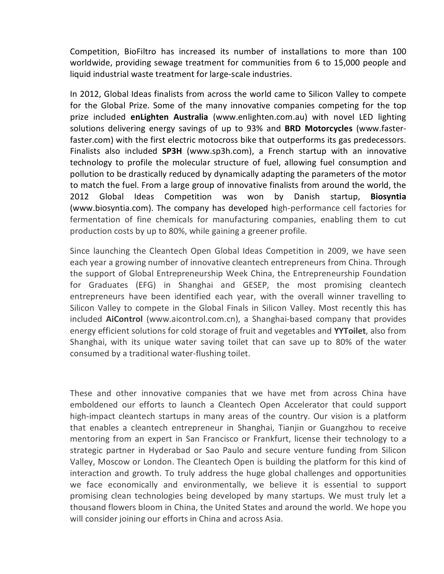Competition, BioFiltro has increased its number of installations to more than 100 worldwide, providing sewage treatment for communities from 6 to 15,000 people and liquid industrial waste treatment for large-scale industries.

In 2012, Global Ideas finalists from across the world came to Silicon Valley to compete for the Global Prize. Some of the many innovative companies competing for the top prize included **enLighten Australia** (www.enlighten.com.au) with novel LED lighting solutions delivering energy savings of up to 93% and **BRD Motorcycles** (www.fasterfaster.com) with the first electric motocross bike that outperforms its gas predecessors. Finalists also included **SP3H** (www.sp3h.com), a French startup with an innovative technology to profile the molecular structure of fuel, allowing fuel consumption and pollution to be drastically reduced by dynamically adapting the parameters of the motor to match the fuel. From a large group of innovative finalists from around the world, the 2012 Global Ideas Competition was won by Danish startup, **Biosyntia** (www.biosyntia.com). The company has developed high-performance cell factories for fermentation of fine chemicals for manufacturing companies, enabling them to cut production costs by up to 80%, while gaining a greener profile.

Since launching the Cleantech Open Global Ideas Competition in 2009, we have seen each year a growing number of innovative cleantech entrepreneurs from China. Through the support of Global Entrepreneurship Week China, the Entrepreneurship Foundation for Graduates (EFG) in Shanghai and GESEP, the most promising cleantech entrepreneurs have been identified each year, with the overall winner travelling to Silicon Valley to compete in the Global Finals in Silicon Valley. Most recently this has included **AiControl** (www.aicontrol.com.cn), a Shanghai-based company that provides energy efficient solutions for cold storage of fruit and vegetables and **YYToilet**, also from Shanghai, with its unique water saving toilet that can save up to 80% of the water consumed by a traditional water-flushing toilet.

These and other innovative companies that we have met from across China have emboldened our efforts to launch a Cleantech Open Accelerator that could support high-impact cleantech startups in many areas of the country. Our vision is a platform that enables a cleantech entrepreneur in Shanghai, Tianjin or Guangzhou to receive mentoring from an expert in San Francisco or Frankfurt, license their technology to a strategic partner in Hyderabad or Sao Paulo and secure venture funding from Silicon Valley, Moscow or London. The Cleantech Open is building the platform for this kind of interaction and growth. To truly address the huge global challenges and opportunities we face economically and environmentally, we believe it is essential to support promising clean technologies being developed by many startups. We must truly let a thousand flowers bloom in China, the United States and around the world. We hope you will consider joining our efforts in China and across Asia.